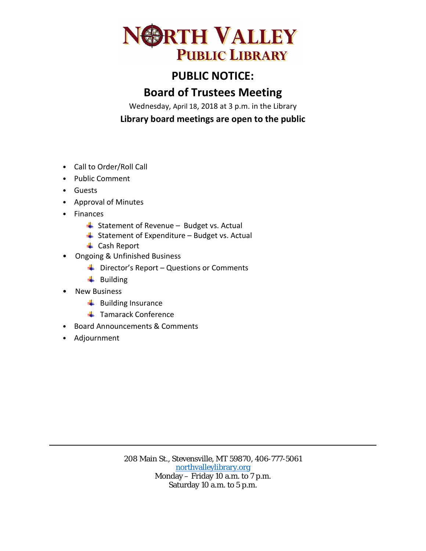

# **PUBLIC NOTICE:**

## **Board of Trustees Meeting**

Wednesday, April 18, 2018 at 3 p.m. in the Library

**Library board meetings are open to the public**

- Call to Order/Roll Call
- Public Comment
- Guests
- Approval of Minutes
- Finances
	- $\overline{\phantom{a}}$  Statement of Revenue Budget vs. Actual
	- $\overline{\phantom{a}}$  Statement of Expenditure Budget vs. Actual
	- **↓** Cash Report
- Ongoing & Unfinished Business
	- $\bigstar$  Director's Report Questions or Comments
	- $\ddot{\bullet}$  Building
- New Business
	- $\ddot{\phantom{1}}$  Building Insurance
	- **↓** Tamarack Conference
- Board Announcements & Comments
- Adjournment

208 Main St., Stevensville, MT 59870, 406-777-5061 [northvalleylibrary.org](http://www.northvalleylibrary.org/) Monday – Friday 10 a.m. to 7 p.m. Saturday 10 a.m. to 5 p.m.